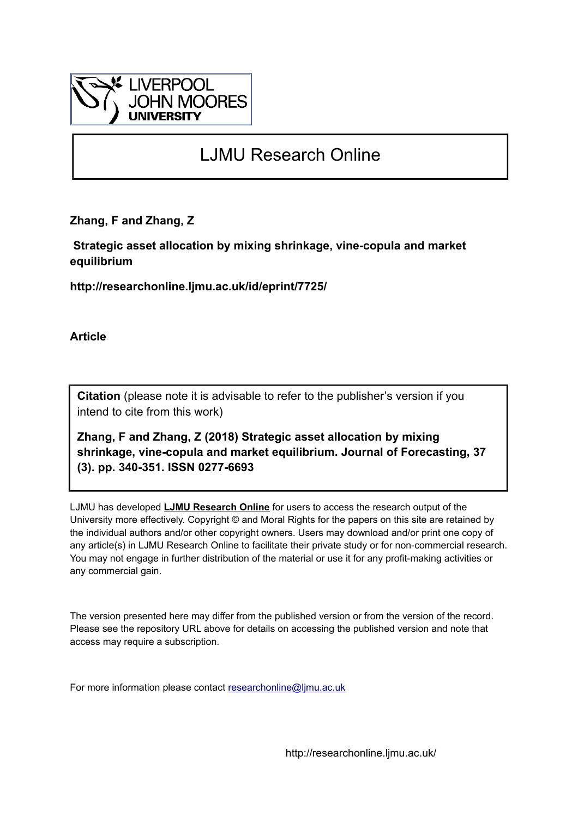

# LJMU Research Online

**Zhang, F and Zhang, Z**

 **Strategic asset allocation by mixing shrinkage, vine-copula and market equilibrium**

**http://researchonline.ljmu.ac.uk/id/eprint/7725/**

**Article**

**Citation** (please note it is advisable to refer to the publisher's version if you intend to cite from this work)

**Zhang, F and Zhang, Z (2018) Strategic asset allocation by mixing shrinkage, vine-copula and market equilibrium. Journal of Forecasting, 37 (3). pp. 340-351. ISSN 0277-6693** 

LJMU has developed **[LJMU Research Online](http://researchonline.ljmu.ac.uk/)** for users to access the research output of the University more effectively. Copyright © and Moral Rights for the papers on this site are retained by the individual authors and/or other copyright owners. Users may download and/or print one copy of any article(s) in LJMU Research Online to facilitate their private study or for non-commercial research. You may not engage in further distribution of the material or use it for any profit-making activities or any commercial gain.

The version presented here may differ from the published version or from the version of the record. Please see the repository URL above for details on accessing the published version and note that access may require a subscription.

For more information please contact [researchonline@ljmu.ac.uk](mailto:researchonline@ljmu.ac.uk)

http://researchonline.ljmu.ac.uk/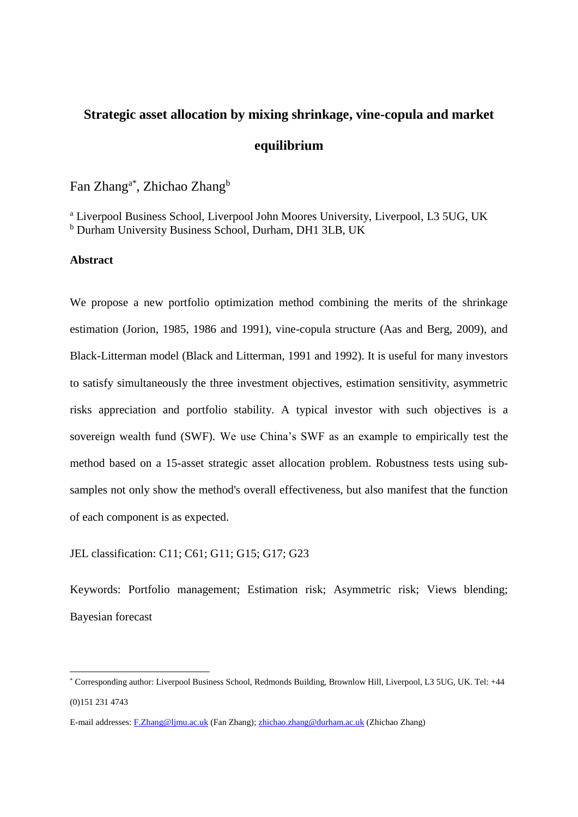# **Strategic asset allocation by mixing shrinkage, vine-copula and market equilibrium**

Fan Zhang<sup>a\*</sup>, Zhichao Zhang<sup>b</sup>

<sup>a</sup> Liverpool Business School, Liverpool John Moores University, Liverpool, L3 5UG, UK <sup>b</sup> Durham University Business School, Durham, DH1 3LB, UK

#### **Abstract**

<u>.</u>

We propose a new portfolio optimization method combining the merits of the shrinkage estimation (Jorion, 1985, 1986 and 1991), vine-copula structure (Aas and Berg, 2009), and Black-Litterman model (Black and Litterman, 1991 and 1992). It is useful for many investors to satisfy simultaneously the three investment objectives, estimation sensitivity, asymmetric risks appreciation and portfolio stability. A typical investor with such objectives is a sovereign wealth fund (SWF). We use China's SWF as an example to empirically test the method based on a 15-asset strategic asset allocation problem. Robustness tests using subsamples not only show the method's overall effectiveness, but also manifest that the function of each component is as expected.

JEL classification: C11; C61; G11; G15; G17; G23

Keywords: Portfolio management; Estimation risk; Asymmetric risk; Views blending; Bayesian forecast

<sup>\*</sup> Corresponding author: Liverpool Business School, Redmonds Building, Brownlow Hill, Liverpool, L3 5UG, UK. Tel: +44 (0)151 231 4743

E-mail addresses: [F.Zhang@ljmu.ac.uk](mailto:F.Zhang@ljmu.ac.uk) (Fan Zhang)[; zhichao.zhang@durham.ac.uk](mailto:zhichao.zhang@durham.ac.uk) (Zhichao Zhang)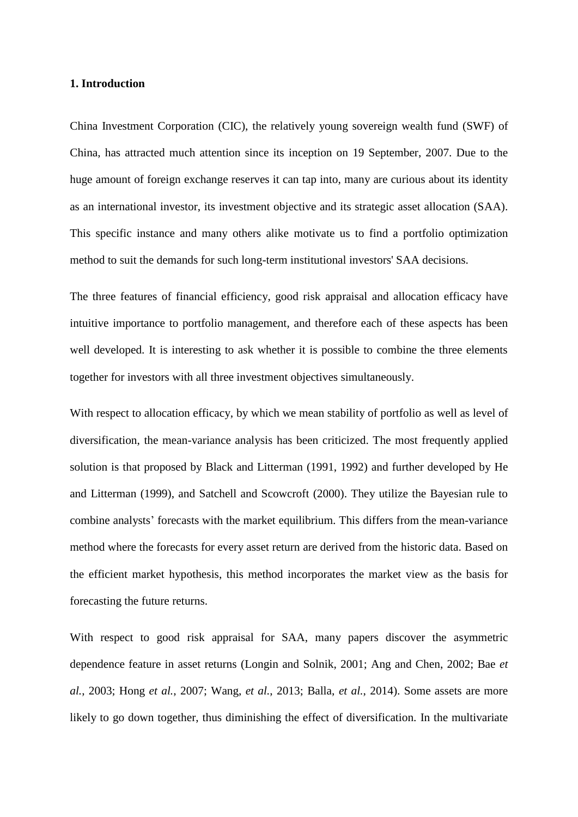#### **1. Introduction**

China Investment Corporation (CIC), the relatively young sovereign wealth fund (SWF) of China, has attracted much attention since its inception on 19 September, 2007. Due to the huge amount of foreign exchange reserves it can tap into, many are curious about its identity as an international investor, its investment objective and its strategic asset allocation (SAA). This specific instance and many others alike motivate us to find a portfolio optimization method to suit the demands for such long-term institutional investors' SAA decisions.

The three features of financial efficiency, good risk appraisal and allocation efficacy have intuitive importance to portfolio management, and therefore each of these aspects has been well developed. It is interesting to ask whether it is possible to combine the three elements together for investors with all three investment objectives simultaneously.

With respect to allocation efficacy, by which we mean stability of portfolio as well as level of diversification, the mean-variance analysis has been criticized. The most frequently applied solution is that proposed by Black and Litterman (1991, 1992) and further developed by He and Litterman (1999), and Satchell and Scowcroft (2000). They utilize the Bayesian rule to combine analysts' forecasts with the market equilibrium. This differs from the mean-variance method where the forecasts for every asset return are derived from the historic data. Based on the efficient market hypothesis, this method incorporates the market view as the basis for forecasting the future returns.

With respect to good risk appraisal for SAA, many papers discover the asymmetric dependence feature in asset returns (Longin and Solnik, 2001; Ang and Chen, 2002; Bae *et al.*, 2003; Hong *et al.*, 2007; Wang, *et al.*, 2013; Balla, *et al.*, 2014). Some assets are more likely to go down together, thus diminishing the effect of diversification. In the multivariate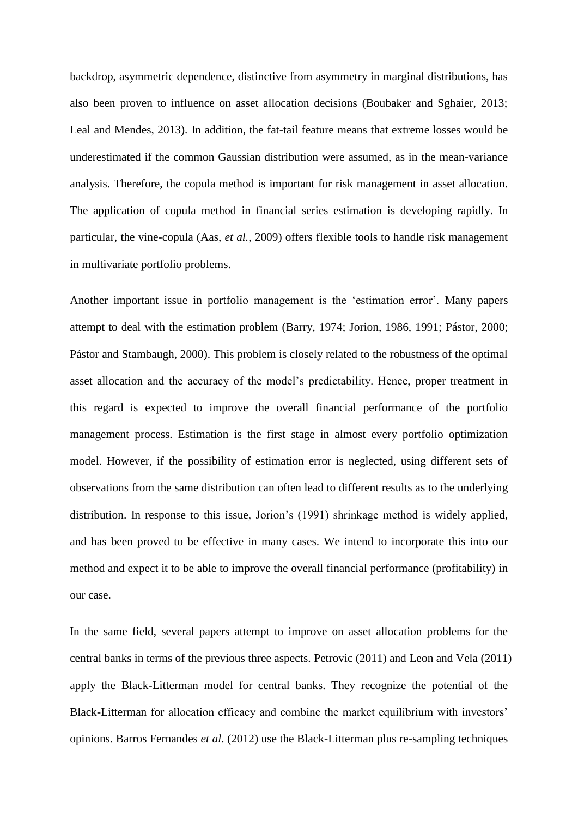backdrop, asymmetric dependence, distinctive from asymmetry in marginal distributions, has also been proven to influence on asset allocation decisions (Boubaker and Sghaier, 2013; Leal and Mendes, 2013). In addition, the fat-tail feature means that extreme losses would be underestimated if the common Gaussian distribution were assumed, as in the mean-variance analysis. Therefore, the copula method is important for risk management in asset allocation. The application of copula method in financial series estimation is developing rapidly. In particular, the vine-copula (Aas, *et al.*, 2009) offers flexible tools to handle risk management in multivariate portfolio problems.

Another important issue in portfolio management is the 'estimation error'. Many papers attempt to deal with the estimation problem (Barry, 1974; Jorion, 1986, 1991; Pástor, 2000; Pástor and Stambaugh, 2000). This problem is closely related to the robustness of the optimal asset allocation and the accuracy of the model's predictability. Hence, proper treatment in this regard is expected to improve the overall financial performance of the portfolio management process. Estimation is the first stage in almost every portfolio optimization model. However, if the possibility of estimation error is neglected, using different sets of observations from the same distribution can often lead to different results as to the underlying distribution. In response to this issue, Jorion's (1991) shrinkage method is widely applied, and has been proved to be effective in many cases. We intend to incorporate this into our method and expect it to be able to improve the overall financial performance (profitability) in our case.

In the same field, several papers attempt to improve on asset allocation problems for the central banks in terms of the previous three aspects. Petrovic (2011) and Leon and Vela (2011) apply the Black-Litterman model for central banks. They recognize the potential of the Black-Litterman for allocation efficacy and combine the market equilibrium with investors' opinions. Barros Fernandes *et al*. (2012) use the Black-Litterman plus re-sampling techniques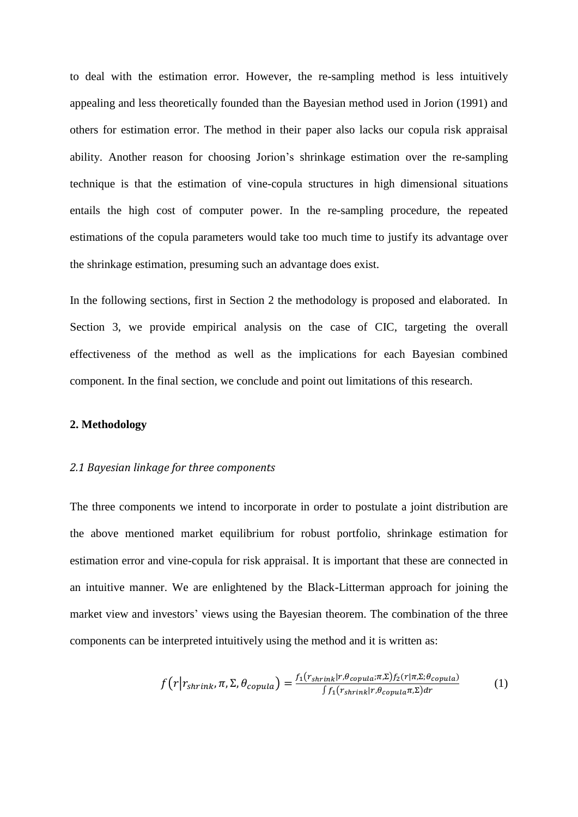to deal with the estimation error. However, the re-sampling method is less intuitively appealing and less theoretically founded than the Bayesian method used in Jorion (1991) and others for estimation error. The method in their paper also lacks our copula risk appraisal ability. Another reason for choosing Jorion's shrinkage estimation over the re-sampling technique is that the estimation of vine-copula structures in high dimensional situations entails the high cost of computer power. In the re-sampling procedure, the repeated estimations of the copula parameters would take too much time to justify its advantage over the shrinkage estimation, presuming such an advantage does exist.

In the following sections, first in Section 2 the methodology is proposed and elaborated. In Section 3, we provide empirical analysis on the case of CIC, targeting the overall effectiveness of the method as well as the implications for each Bayesian combined component. In the final section, we conclude and point out limitations of this research.

#### **2. Methodology**

#### *2.1 Bayesian linkage for three components*

The three components we intend to incorporate in order to postulate a joint distribution are the above mentioned market equilibrium for robust portfolio, shrinkage estimation for estimation error and vine-copula for risk appraisal. It is important that these are connected in an intuitive manner. We are enlightened by the Black-Litterman approach for joining the market view and investors' views using the Bayesian theorem. The combination of the three components can be interpreted intuitively using the method and it is written as:

$$
f(r|r_{shrink}, \pi, \Sigma, \theta_{copula}) = \frac{f_1(r_{shrink}|r, \theta_{copula}; \pi, \Sigma) f_2(r|\pi, \Sigma; \theta_{copula})}{\int f_1(r_{shrink}|r, \theta_{copula}; \pi, \Sigma) dr}
$$
(1)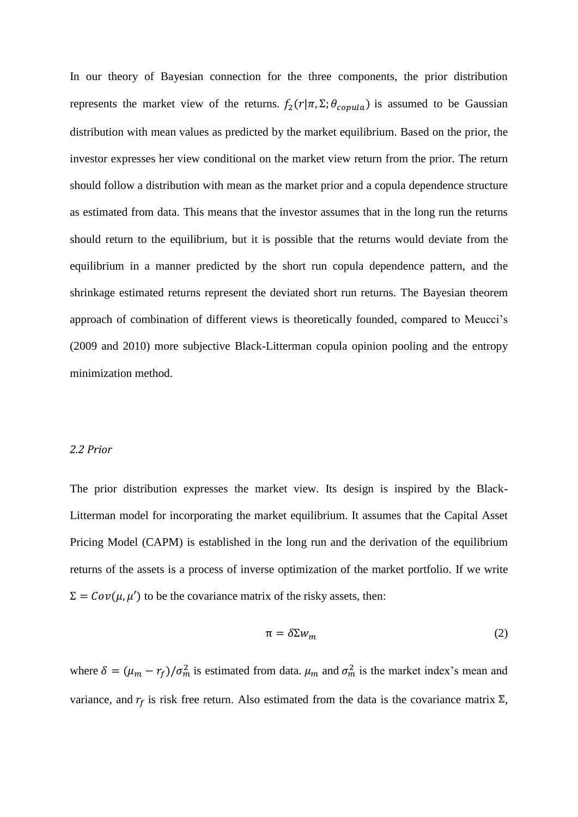In our theory of Bayesian connection for the three components, the prior distribution represents the market view of the returns.  $f_2(r|\pi, \Sigma; \theta_{couula})$  is assumed to be Gaussian distribution with mean values as predicted by the market equilibrium. Based on the prior, the investor expresses her view conditional on the market view return from the prior. The return should follow a distribution with mean as the market prior and a copula dependence structure as estimated from data. This means that the investor assumes that in the long run the returns should return to the equilibrium, but it is possible that the returns would deviate from the equilibrium in a manner predicted by the short run copula dependence pattern, and the shrinkage estimated returns represent the deviated short run returns. The Bayesian theorem approach of combination of different views is theoretically founded, compared to Meucci's (2009 and 2010) more subjective Black-Litterman copula opinion pooling and the entropy minimization method.

#### *2.2 Prior*

The prior distribution expresses the market view. Its design is inspired by the Black-Litterman model for incorporating the market equilibrium. It assumes that the Capital Asset Pricing Model (CAPM) is established in the long run and the derivation of the equilibrium returns of the assets is a process of inverse optimization of the market portfolio. If we write  $\Sigma = Cov(\mu, \mu')$  to be the covariance matrix of the risky assets, then:

$$
\pi = \delta \Sigma w_m \tag{2}
$$

where  $\delta = (\mu_m - r_f)/\sigma_m^2$  is estimated from data.  $\mu_m$  and  $\sigma_m^2$  is the market index's mean and variance, and  $r_f$  is risk free return. Also estimated from the data is the covariance matrix  $\Sigma$ ,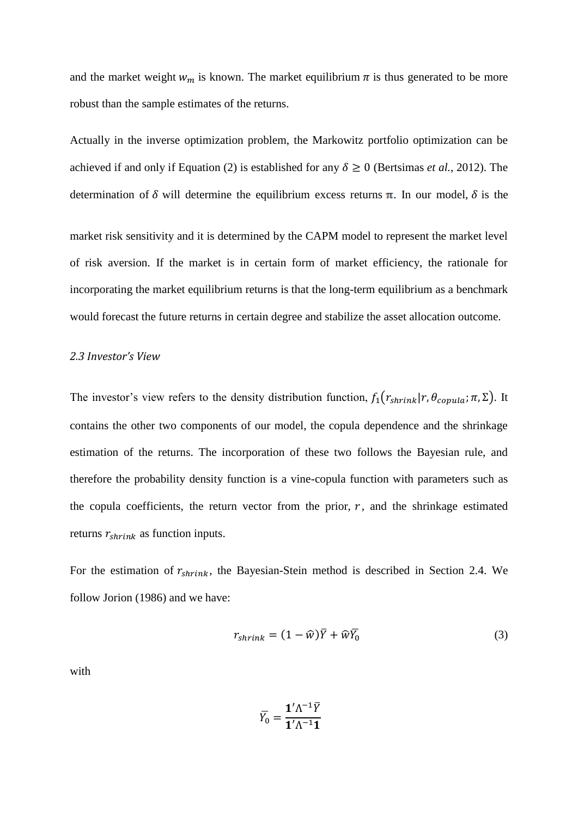and the market weight  $w_m$  is known. The market equilibrium  $\pi$  is thus generated to be more robust than the sample estimates of the returns.

Actually in the inverse optimization problem, the Markowitz portfolio optimization can be achieved if and only if Equation (2) is established for any  $\delta \ge 0$  (Bertsimas *et al.*, 2012). The determination of  $\delta$  will determine the equilibrium excess returns  $\pi$ . In our model,  $\delta$  is the

market risk sensitivity and it is determined by the CAPM model to represent the market level of risk aversion. If the market is in certain form of market efficiency, the rationale for incorporating the market equilibrium returns is that the long-term equilibrium as a benchmark would forecast the future returns in certain degree and stabilize the asset allocation outcome.

# *2.3 Investor's View*

The investor's view refers to the density distribution function,  $f_1(r_{shrink}|r, \theta_{copula}; \pi, \Sigma)$ . It contains the other two components of our model, the copula dependence and the shrinkage estimation of the returns. The incorporation of these two follows the Bayesian rule, and therefore the probability density function is a vine-copula function with parameters such as the copula coefficients, the return vector from the prior,  $r$ , and the shrinkage estimated returns  $r_{shrink}$  as function inputs.

For the estimation of  $r_{shrink}$ , the Bayesian-Stein method is described in Section 2.4. We follow Jorion (1986) and we have:

$$
r_{shrink} = (1 - \widehat{w})\overline{Y} + \widehat{w}\overline{Y}_0
$$
\n(3)

with

$$
\overline{Y_0}=\frac{{\bf 1}'\Lambda^{-1}\overline{Y}}{{\bf 1}'\Lambda^{-1}{\bf 1}}
$$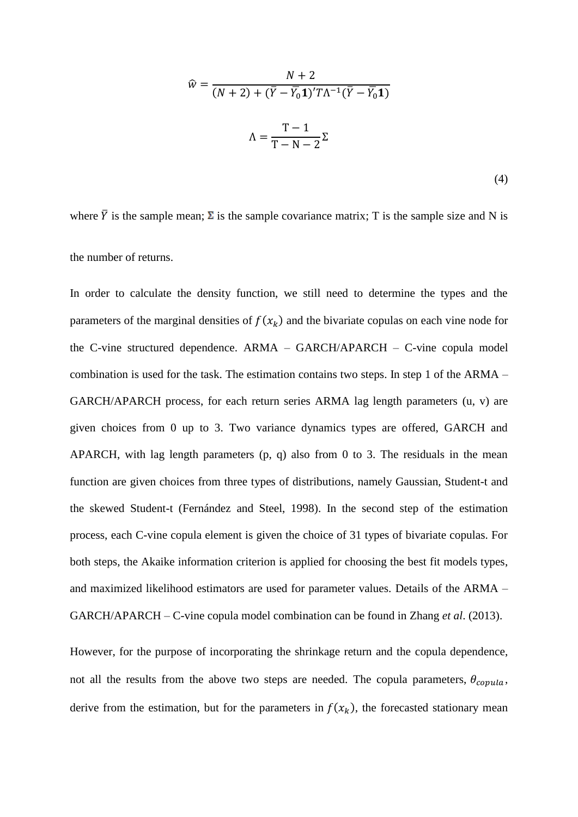$$
\widehat{w} = \frac{N+2}{(N+2) + (\overline{Y} - \overline{Y}_0 \mathbf{1})' T \Lambda^{-1} (\overline{Y} - \overline{Y}_0 \mathbf{1})}
$$

$$
\Lambda = \frac{T-1}{T-N-2} \Sigma
$$
(4)

where  $\bar{Y}$  is the sample mean;  $\Sigma$  is the sample covariance matrix; T is the sample size and N is the number of returns.

In order to calculate the density function, we still need to determine the types and the parameters of the marginal densities of  $f(x_k)$  and the bivariate copulas on each vine node for the C-vine structured dependence. ARMA – GARCH/APARCH – C-vine copula model combination is used for the task. The estimation contains two steps. In step 1 of the ARMA – GARCH/APARCH process, for each return series ARMA lag length parameters (u, v) are given choices from 0 up to 3. Two variance dynamics types are offered, GARCH and APARCH, with lag length parameters (p, q) also from 0 to 3. The residuals in the mean function are given choices from three types of distributions, namely Gaussian, Student-t and the skewed Student-t (Fernández and Steel, 1998). In the second step of the estimation process, each C-vine copula element is given the choice of 31 types of bivariate copulas. For both steps, the Akaike information criterion is applied for choosing the best fit models types, and maximized likelihood estimators are used for parameter values. Details of the ARMA – GARCH/APARCH – C-vine copula model combination can be found in Zhang *et al*. (2013).

However, for the purpose of incorporating the shrinkage return and the copula dependence, not all the results from the above two steps are needed. The copula parameters,  $\theta_{copula}$ , derive from the estimation, but for the parameters in  $f(x_k)$ , the forecasted stationary mean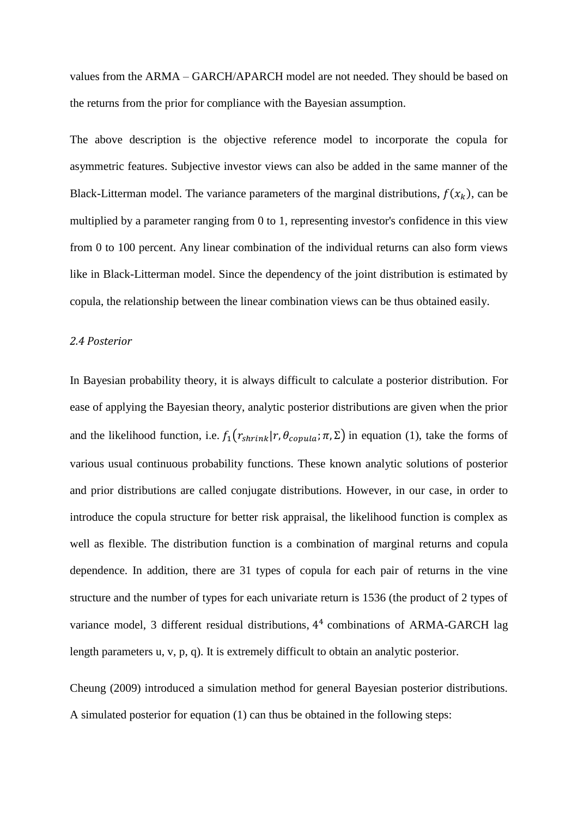values from the ARMA – GARCH/APARCH model are not needed. They should be based on the returns from the prior for compliance with the Bayesian assumption.

The above description is the objective reference model to incorporate the copula for asymmetric features. Subjective investor views can also be added in the same manner of the Black-Litterman model. The variance parameters of the marginal distributions,  $f(x_k)$ , can be multiplied by a parameter ranging from 0 to 1, representing investor's confidence in this view from 0 to 100 percent. Any linear combination of the individual returns can also form views like in Black-Litterman model. Since the dependency of the joint distribution is estimated by copula, the relationship between the linear combination views can be thus obtained easily.

#### *2.4 Posterior*

In Bayesian probability theory, it is always difficult to calculate a posterior distribution. For ease of applying the Bayesian theory, analytic posterior distributions are given when the prior and the likelihood function, i.e.  $f_1(r_{shrink}|r, \theta_{couula}; \pi, \Sigma)$  in equation (1), take the forms of various usual continuous probability functions. These known analytic solutions of posterior and prior distributions are called conjugate distributions. However, in our case, in order to introduce the copula structure for better risk appraisal, the likelihood function is complex as well as flexible. The distribution function is a combination of marginal returns and copula dependence. In addition, there are 31 types of copula for each pair of returns in the vine structure and the number of types for each univariate return is 1536 (the product of 2 types of variance model, 3 different residual distributions, 4<sup>4</sup> combinations of ARMA-GARCH lag length parameters u, v, p, q). It is extremely difficult to obtain an analytic posterior.

Cheung (2009) introduced a simulation method for general Bayesian posterior distributions. A simulated posterior for equation (1) can thus be obtained in the following steps: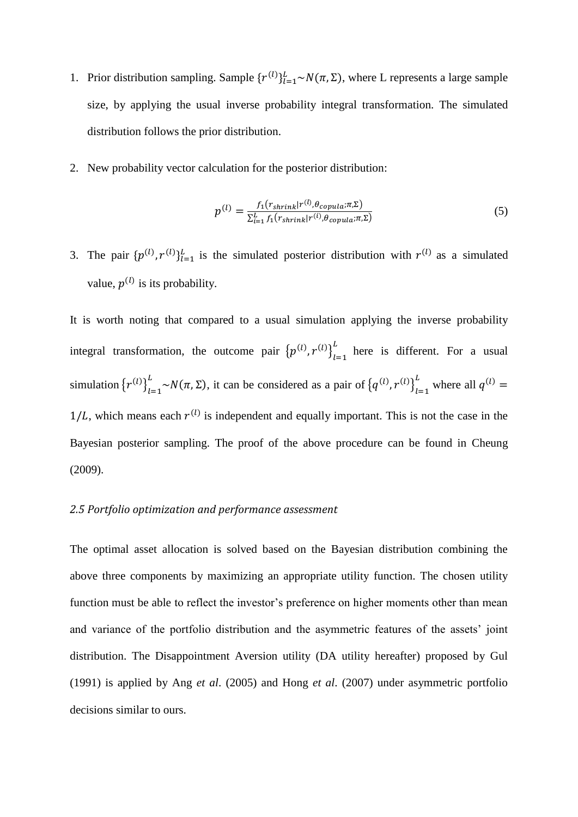- 1. Prior distribution sampling. Sample  $\{r^{(l)}\}_{l=1}^L \sim N(\pi, \Sigma)$ , where L represents a large sample size, by applying the usual inverse probability integral transformation. The simulated distribution follows the prior distribution.
- 2. New probability vector calculation for the posterior distribution:

$$
p^{(l)} = \frac{f_1(r_{shrink}|r^{(l)}, \theta_{copula}; \pi, \Sigma)}{\Sigma_{i=1}^L f_1(r_{shrink}|r^{(l)}, \theta_{copula}; \pi, \Sigma)}
$$
(5)

3. The pair  $\{p^{(l)}, r^{(l)}\}_{l=1}^L$  is the simulated posterior distribution with  $r^{(l)}$  as a simulated value,  $p^{(l)}$  is its probability.

It is worth noting that compared to a usual simulation applying the inverse probability integral transformation, the outcome pair  ${p^{(l)}}, r^{(l)} \}_{l=1}^L$  $\frac{L}{h}$  here is different. For a usual simulation  $\left\{r^{(l)}\right\}_{l=1}^{L}$  $_{l=1}^{L} \sim N(\pi, \Sigma)$ , it can be considered as a pair of  ${q^{(l)} , r^{(l)}}_{l=1}^{L}$  $\int_{1}^{L}$  where all  $q^{(l)} =$  $1/L$ , which means each  $r^{(l)}$  is independent and equally important. This is not the case in the Bayesian posterior sampling. The proof of the above procedure can be found in Cheung (2009).

# *2.5 Portfolio optimization and performance assessment*

The optimal asset allocation is solved based on the Bayesian distribution combining the above three components by maximizing an appropriate utility function. The chosen utility function must be able to reflect the investor's preference on higher moments other than mean and variance of the portfolio distribution and the asymmetric features of the assets' joint distribution. The Disappointment Aversion utility (DA utility hereafter) proposed by Gul (1991) is applied by Ang *et al*. (2005) and Hong *et al*. (2007) under asymmetric portfolio decisions similar to ours.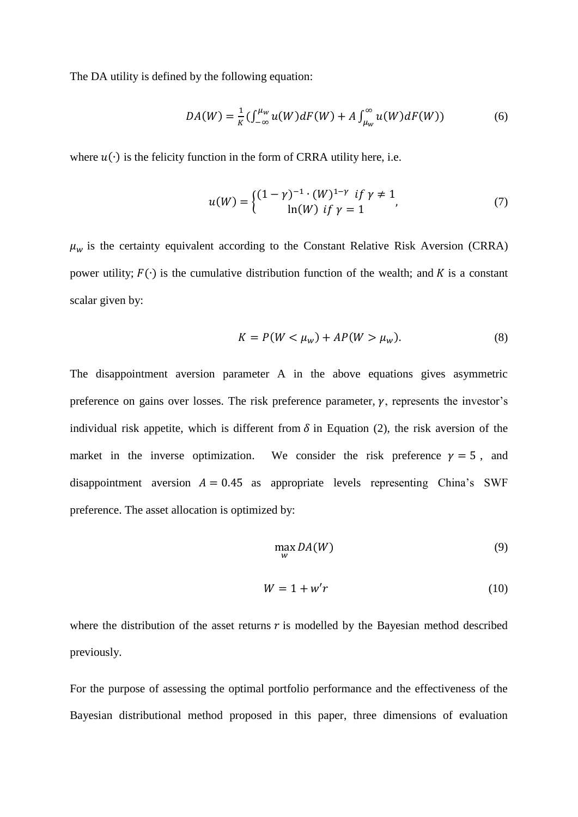The DA utility is defined by the following equation:

$$
DA(W) = \frac{1}{K} \left( \int_{-\infty}^{\mu_W} u(W) dF(W) + A \int_{\mu_W}^{\infty} u(W) dF(W) \right) \tag{6}
$$

where  $u(·)$  is the felicity function in the form of CRRA utility here, i.e.

$$
u(W) = \begin{cases} (1 - \gamma)^{-1} \cdot (W)^{1 - \gamma} & \text{if } \gamma \neq 1 \\ \ln(W) & \text{if } \gamma = 1 \end{cases}
$$
 (7)

 $\mu_w$  is the certainty equivalent according to the Constant Relative Risk Aversion (CRRA) power utility;  $F(\cdot)$  is the cumulative distribution function of the wealth; and K is a constant scalar given by:

$$
K = P(W < \mu_w) + AP(W > \mu_w). \tag{8}
$$

The disappointment aversion parameter A in the above equations gives asymmetric preference on gains over losses. The risk preference parameter,  $\gamma$ , represents the investor's individual risk appetite, which is different from  $\delta$  in Equation (2), the risk aversion of the market in the inverse optimization. We consider the risk preference  $y = 5$ , and disappointment aversion  $A = 0.45$  as appropriate levels representing China's SWF preference. The asset allocation is optimized by:

$$
\max_{W} DA(W) \tag{9}
$$

$$
W = 1 + w'r \tag{10}
$$

where the distribution of the asset returns  $r$  is modelled by the Bayesian method described previously.

For the purpose of assessing the optimal portfolio performance and the effectiveness of the Bayesian distributional method proposed in this paper, three dimensions of evaluation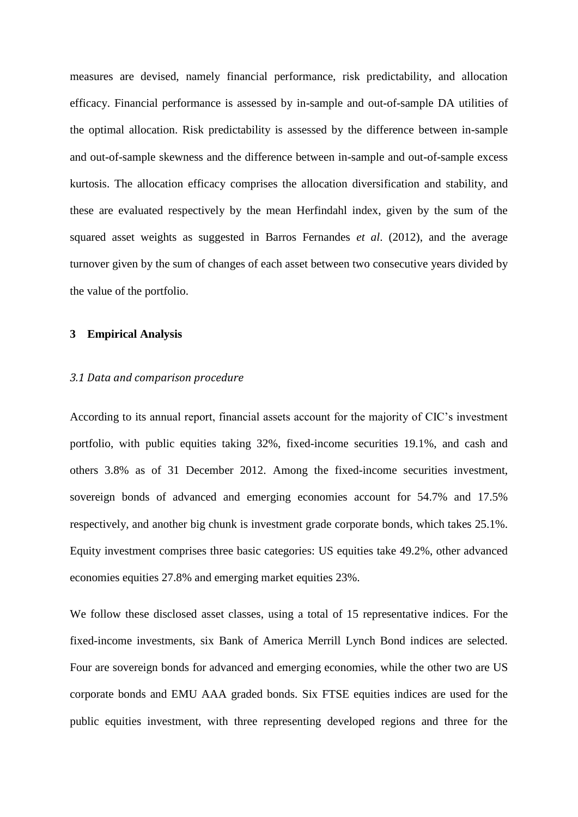measures are devised, namely financial performance, risk predictability, and allocation efficacy. Financial performance is assessed by in-sample and out-of-sample DA utilities of the optimal allocation. Risk predictability is assessed by the difference between in-sample and out-of-sample skewness and the difference between in-sample and out-of-sample excess kurtosis. The allocation efficacy comprises the allocation diversification and stability, and these are evaluated respectively by the mean Herfindahl index, given by the sum of the squared asset weights as suggested in Barros Fernandes *et al*. (2012), and the average turnover given by the sum of changes of each asset between two consecutive years divided by the value of the portfolio.

#### **3 Empirical Analysis**

# *3.1 Data and comparison procedure*

According to its annual report, financial assets account for the majority of CIC's investment portfolio, with public equities taking 32%, fixed-income securities 19.1%, and cash and others 3.8% as of 31 December 2012. Among the fixed-income securities investment, sovereign bonds of advanced and emerging economies account for 54.7% and 17.5% respectively, and another big chunk is investment grade corporate bonds, which takes 25.1%. Equity investment comprises three basic categories: US equities take 49.2%, other advanced economies equities 27.8% and emerging market equities 23%.

We follow these disclosed asset classes, using a total of 15 representative indices. For the fixed-income investments, six Bank of America Merrill Lynch Bond indices are selected. Four are sovereign bonds for advanced and emerging economies, while the other two are US corporate bonds and EMU AAA graded bonds. Six FTSE equities indices are used for the public equities investment, with three representing developed regions and three for the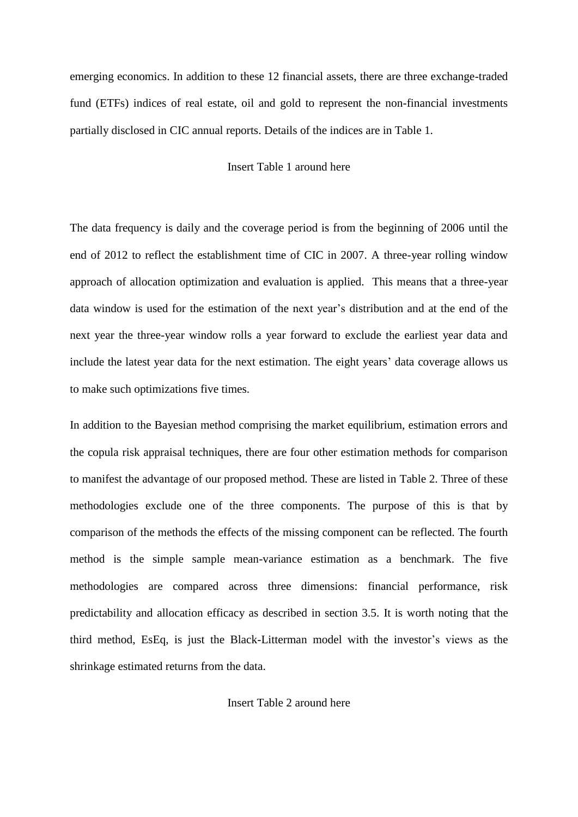emerging economics. In addition to these 12 financial assets, there are three exchange-traded fund (ETFs) indices of real estate, oil and gold to represent the non-financial investments partially disclosed in CIC annual reports. Details of the indices are in Table 1.

#### Insert Table 1 around here

The data frequency is daily and the coverage period is from the beginning of 2006 until the end of 2012 to reflect the establishment time of CIC in 2007. A three-year rolling window approach of allocation optimization and evaluation is applied. This means that a three-year data window is used for the estimation of the next year's distribution and at the end of the next year the three-year window rolls a year forward to exclude the earliest year data and include the latest year data for the next estimation. The eight years' data coverage allows us to make such optimizations five times.

In addition to the Bayesian method comprising the market equilibrium, estimation errors and the copula risk appraisal techniques, there are four other estimation methods for comparison to manifest the advantage of our proposed method. These are listed in Table 2. Three of these methodologies exclude one of the three components. The purpose of this is that by comparison of the methods the effects of the missing component can be reflected. The fourth method is the simple sample mean-variance estimation as a benchmark. The five methodologies are compared across three dimensions: financial performance, risk predictability and allocation efficacy as described in section 3.5. It is worth noting that the third method, EsEq, is just the Black-Litterman model with the investor's views as the shrinkage estimated returns from the data.

Insert Table 2 around here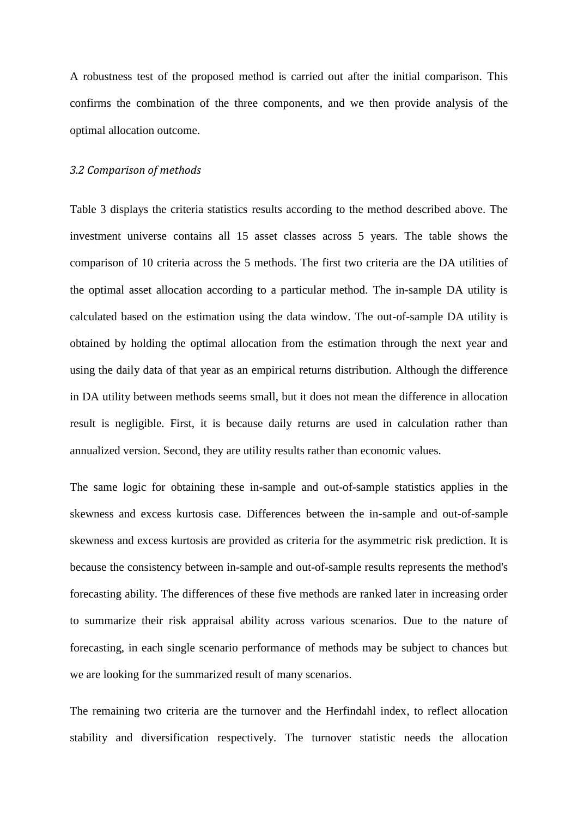A robustness test of the proposed method is carried out after the initial comparison. This confirms the combination of the three components, and we then provide analysis of the optimal allocation outcome.

#### *3.2 Comparison of methods*

Table 3 displays the criteria statistics results according to the method described above. The investment universe contains all 15 asset classes across 5 years. The table shows the comparison of 10 criteria across the 5 methods. The first two criteria are the DA utilities of the optimal asset allocation according to a particular method. The in-sample DA utility is calculated based on the estimation using the data window. The out-of-sample DA utility is obtained by holding the optimal allocation from the estimation through the next year and using the daily data of that year as an empirical returns distribution. Although the difference in DA utility between methods seems small, but it does not mean the difference in allocation result is negligible. First, it is because daily returns are used in calculation rather than annualized version. Second, they are utility results rather than economic values.

The same logic for obtaining these in-sample and out-of-sample statistics applies in the skewness and excess kurtosis case. Differences between the in-sample and out-of-sample skewness and excess kurtosis are provided as criteria for the asymmetric risk prediction. It is because the consistency between in-sample and out-of-sample results represents the method's forecasting ability. The differences of these five methods are ranked later in increasing order to summarize their risk appraisal ability across various scenarios. Due to the nature of forecasting, in each single scenario performance of methods may be subject to chances but we are looking for the summarized result of many scenarios.

The remaining two criteria are the turnover and the Herfindahl index, to reflect allocation stability and diversification respectively. The turnover statistic needs the allocation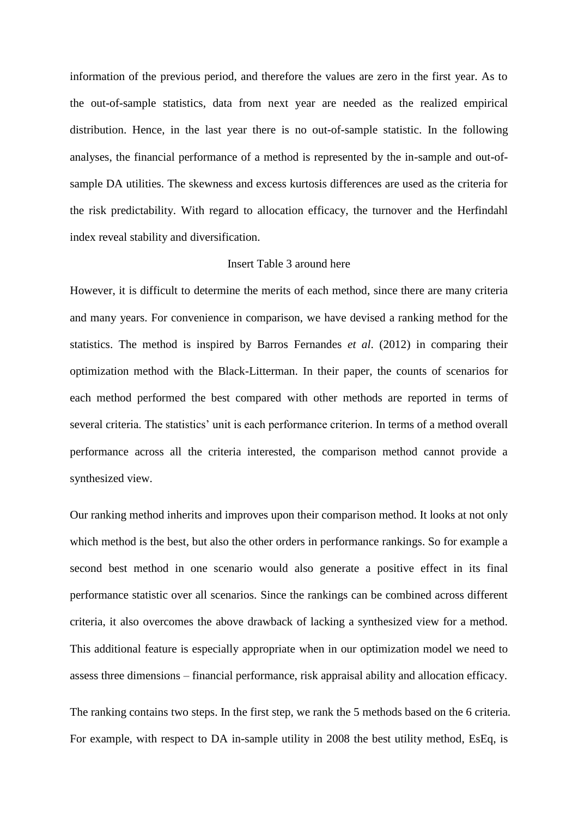information of the previous period, and therefore the values are zero in the first year. As to the out-of-sample statistics, data from next year are needed as the realized empirical distribution. Hence, in the last year there is no out-of-sample statistic. In the following analyses, the financial performance of a method is represented by the in-sample and out-ofsample DA utilities. The skewness and excess kurtosis differences are used as the criteria for the risk predictability. With regard to allocation efficacy, the turnover and the Herfindahl index reveal stability and diversification.

#### Insert Table 3 around here

However, it is difficult to determine the merits of each method, since there are many criteria and many years. For convenience in comparison, we have devised a ranking method for the statistics. The method is inspired by Barros Fernandes *et al*. (2012) in comparing their optimization method with the Black-Litterman. In their paper, the counts of scenarios for each method performed the best compared with other methods are reported in terms of several criteria. The statistics' unit is each performance criterion. In terms of a method overall performance across all the criteria interested, the comparison method cannot provide a synthesized view.

Our ranking method inherits and improves upon their comparison method. It looks at not only which method is the best, but also the other orders in performance rankings. So for example a second best method in one scenario would also generate a positive effect in its final performance statistic over all scenarios. Since the rankings can be combined across different criteria, it also overcomes the above drawback of lacking a synthesized view for a method. This additional feature is especially appropriate when in our optimization model we need to assess three dimensions – financial performance, risk appraisal ability and allocation efficacy.

The ranking contains two steps. In the first step, we rank the 5 methods based on the 6 criteria. For example, with respect to DA in-sample utility in 2008 the best utility method, EsEq, is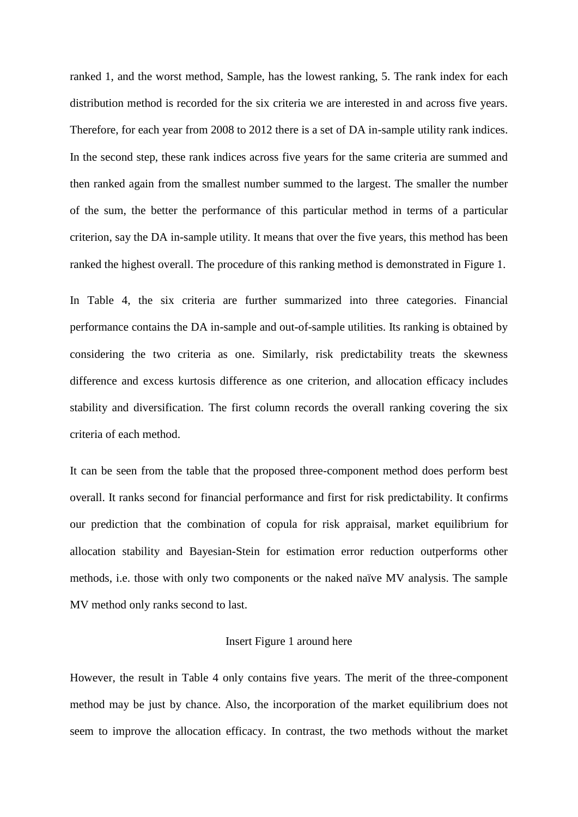ranked 1, and the worst method, Sample, has the lowest ranking, 5. The rank index for each distribution method is recorded for the six criteria we are interested in and across five years. Therefore, for each year from 2008 to 2012 there is a set of DA in-sample utility rank indices. In the second step, these rank indices across five years for the same criteria are summed and then ranked again from the smallest number summed to the largest. The smaller the number of the sum, the better the performance of this particular method in terms of a particular criterion, say the DA in-sample utility. It means that over the five years, this method has been ranked the highest overall. The procedure of this ranking method is demonstrated in Figure 1.

In Table 4, the six criteria are further summarized into three categories. Financial performance contains the DA in-sample and out-of-sample utilities. Its ranking is obtained by considering the two criteria as one. Similarly, risk predictability treats the skewness difference and excess kurtosis difference as one criterion, and allocation efficacy includes stability and diversification. The first column records the overall ranking covering the six criteria of each method.

It can be seen from the table that the proposed three-component method does perform best overall. It ranks second for financial performance and first for risk predictability. It confirms our prediction that the combination of copula for risk appraisal, market equilibrium for allocation stability and Bayesian-Stein for estimation error reduction outperforms other methods, i.e. those with only two components or the naked naïve MV analysis. The sample MV method only ranks second to last.

#### Insert Figure 1 around here

However, the result in Table 4 only contains five years. The merit of the three-component method may be just by chance. Also, the incorporation of the market equilibrium does not seem to improve the allocation efficacy. In contrast, the two methods without the market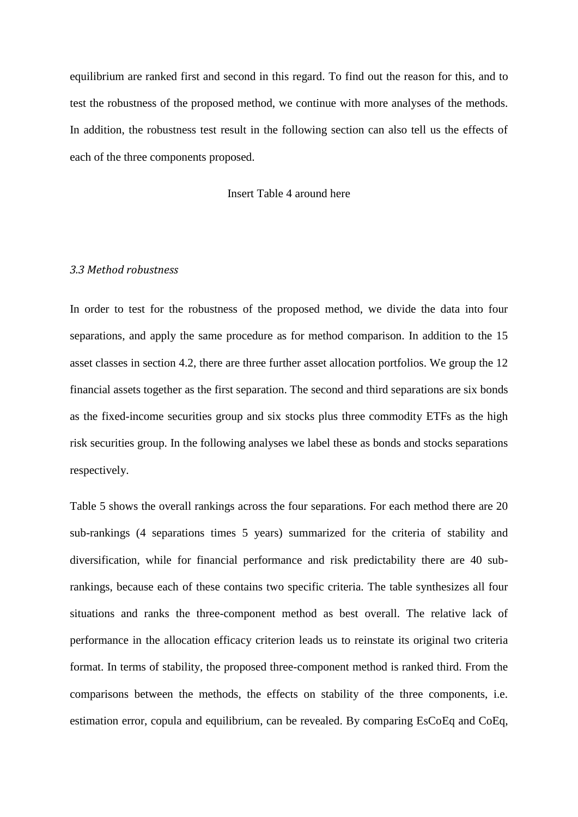equilibrium are ranked first and second in this regard. To find out the reason for this, and to test the robustness of the proposed method, we continue with more analyses of the methods. In addition, the robustness test result in the following section can also tell us the effects of each of the three components proposed.

#### Insert Table 4 around here

#### *3.3 Method robustness*

In order to test for the robustness of the proposed method, we divide the data into four separations, and apply the same procedure as for method comparison. In addition to the 15 asset classes in section 4.2, there are three further asset allocation portfolios. We group the 12 financial assets together as the first separation. The second and third separations are six bonds as the fixed-income securities group and six stocks plus three commodity ETFs as the high risk securities group. In the following analyses we label these as bonds and stocks separations respectively.

Table 5 shows the overall rankings across the four separations. For each method there are 20 sub-rankings (4 separations times 5 years) summarized for the criteria of stability and diversification, while for financial performance and risk predictability there are 40 subrankings, because each of these contains two specific criteria. The table synthesizes all four situations and ranks the three-component method as best overall. The relative lack of performance in the allocation efficacy criterion leads us to reinstate its original two criteria format. In terms of stability, the proposed three-component method is ranked third. From the comparisons between the methods, the effects on stability of the three components, i.e. estimation error, copula and equilibrium, can be revealed. By comparing EsCoEq and CoEq,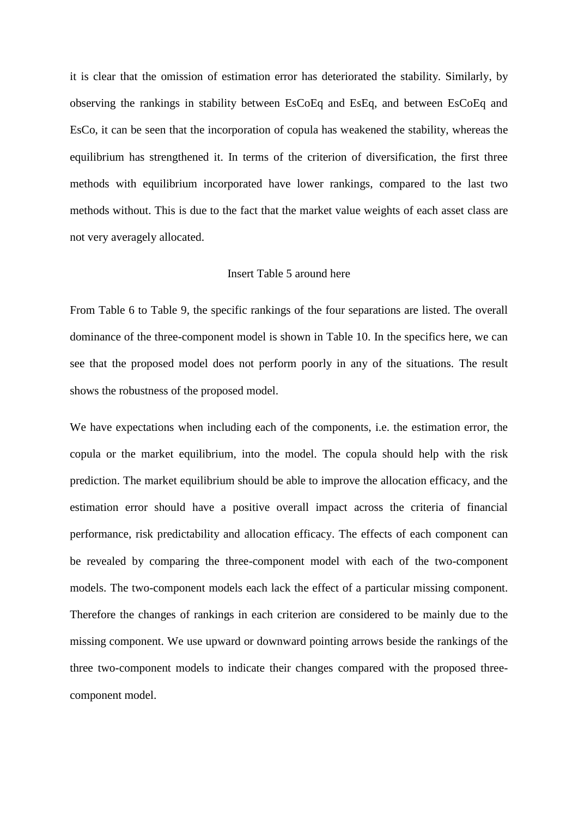it is clear that the omission of estimation error has deteriorated the stability. Similarly, by observing the rankings in stability between EsCoEq and EsEq, and between EsCoEq and EsCo, it can be seen that the incorporation of copula has weakened the stability, whereas the equilibrium has strengthened it. In terms of the criterion of diversification, the first three methods with equilibrium incorporated have lower rankings, compared to the last two methods without. This is due to the fact that the market value weights of each asset class are not very averagely allocated.

## Insert Table 5 around here

From Table 6 to Table 9, the specific rankings of the four separations are listed. The overall dominance of the three-component model is shown in Table 10. In the specifics here, we can see that the proposed model does not perform poorly in any of the situations. The result shows the robustness of the proposed model.

We have expectations when including each of the components, i.e. the estimation error, the copula or the market equilibrium, into the model. The copula should help with the risk prediction. The market equilibrium should be able to improve the allocation efficacy, and the estimation error should have a positive overall impact across the criteria of financial performance, risk predictability and allocation efficacy. The effects of each component can be revealed by comparing the three-component model with each of the two-component models. The two-component models each lack the effect of a particular missing component. Therefore the changes of rankings in each criterion are considered to be mainly due to the missing component. We use upward or downward pointing arrows beside the rankings of the three two-component models to indicate their changes compared with the proposed threecomponent model.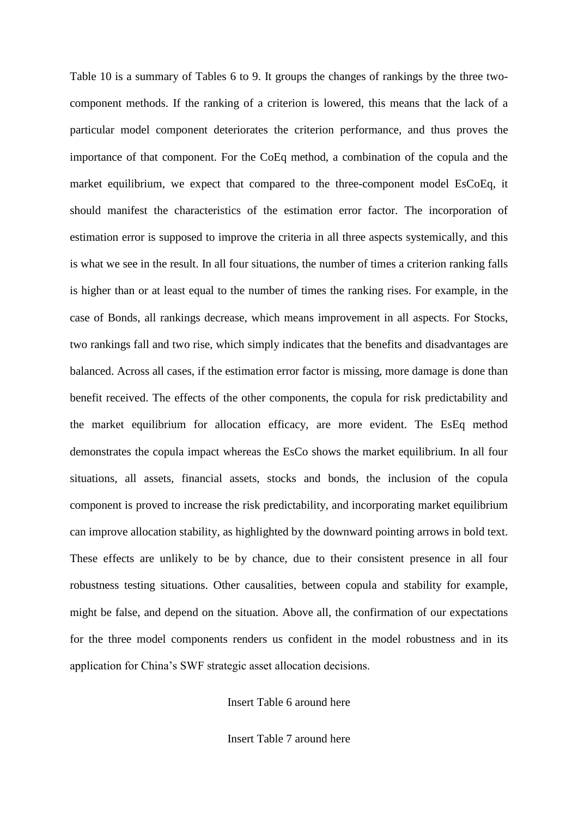Table 10 is a summary of Tables 6 to 9. It groups the changes of rankings by the three twocomponent methods. If the ranking of a criterion is lowered, this means that the lack of a particular model component deteriorates the criterion performance, and thus proves the importance of that component. For the CoEq method, a combination of the copula and the market equilibrium, we expect that compared to the three-component model EsCoEq, it should manifest the characteristics of the estimation error factor. The incorporation of estimation error is supposed to improve the criteria in all three aspects systemically, and this is what we see in the result. In all four situations, the number of times a criterion ranking falls is higher than or at least equal to the number of times the ranking rises. For example, in the case of Bonds, all rankings decrease, which means improvement in all aspects. For Stocks, two rankings fall and two rise, which simply indicates that the benefits and disadvantages are balanced. Across all cases, if the estimation error factor is missing, more damage is done than benefit received. The effects of the other components, the copula for risk predictability and the market equilibrium for allocation efficacy, are more evident. The EsEq method demonstrates the copula impact whereas the EsCo shows the market equilibrium. In all four situations, all assets, financial assets, stocks and bonds, the inclusion of the copula component is proved to increase the risk predictability, and incorporating market equilibrium can improve allocation stability, as highlighted by the downward pointing arrows in bold text. These effects are unlikely to be by chance, due to their consistent presence in all four robustness testing situations. Other causalities, between copula and stability for example, might be false, and depend on the situation. Above all, the confirmation of our expectations for the three model components renders us confident in the model robustness and in its application for China's SWF strategic asset allocation decisions.

Insert Table 6 around here

Insert Table 7 around here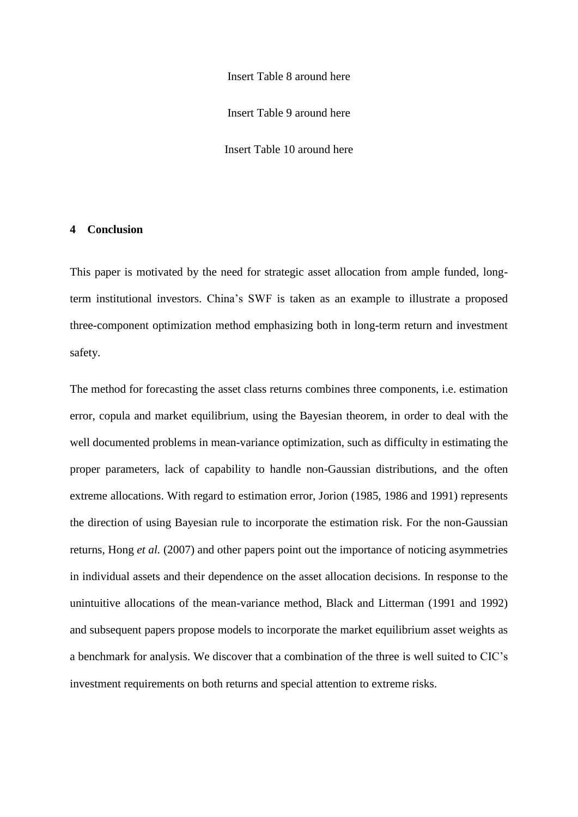Insert Table 8 around here Insert Table 9 around here Insert Table 10 around here

### **4 Conclusion**

This paper is motivated by the need for strategic asset allocation from ample funded, longterm institutional investors. China's SWF is taken as an example to illustrate a proposed three-component optimization method emphasizing both in long-term return and investment safety.

The method for forecasting the asset class returns combines three components, i.e. estimation error, copula and market equilibrium, using the Bayesian theorem, in order to deal with the well documented problems in mean-variance optimization, such as difficulty in estimating the proper parameters, lack of capability to handle non-Gaussian distributions, and the often extreme allocations. With regard to estimation error, Jorion (1985, 1986 and 1991) represents the direction of using Bayesian rule to incorporate the estimation risk. For the non-Gaussian returns, Hong *et al.* (2007) and other papers point out the importance of noticing asymmetries in individual assets and their dependence on the asset allocation decisions. In response to the unintuitive allocations of the mean-variance method, Black and Litterman (1991 and 1992) and subsequent papers propose models to incorporate the market equilibrium asset weights as a benchmark for analysis. We discover that a combination of the three is well suited to CIC's investment requirements on both returns and special attention to extreme risks.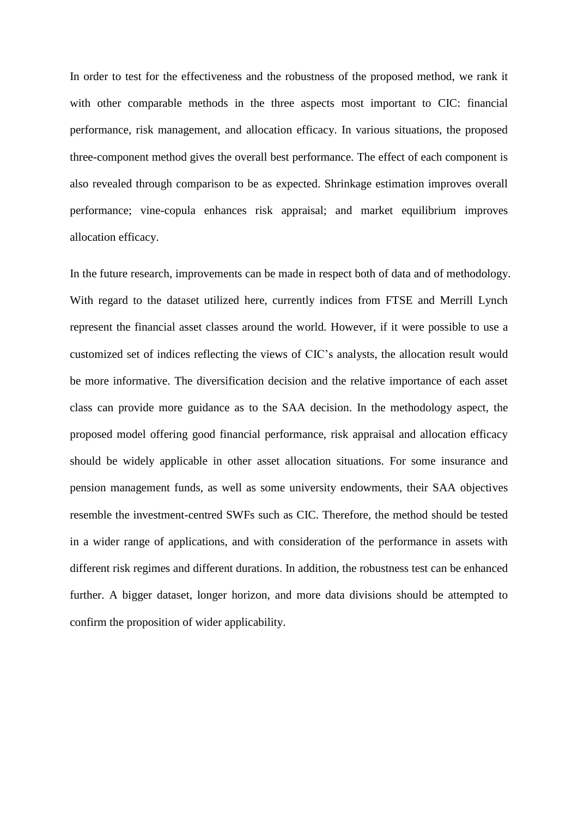In order to test for the effectiveness and the robustness of the proposed method, we rank it with other comparable methods in the three aspects most important to CIC: financial performance, risk management, and allocation efficacy. In various situations, the proposed three-component method gives the overall best performance. The effect of each component is also revealed through comparison to be as expected. Shrinkage estimation improves overall performance; vine-copula enhances risk appraisal; and market equilibrium improves allocation efficacy.

In the future research, improvements can be made in respect both of data and of methodology. With regard to the dataset utilized here, currently indices from FTSE and Merrill Lynch represent the financial asset classes around the world. However, if it were possible to use a customized set of indices reflecting the views of CIC's analysts, the allocation result would be more informative. The diversification decision and the relative importance of each asset class can provide more guidance as to the SAA decision. In the methodology aspect, the proposed model offering good financial performance, risk appraisal and allocation efficacy should be widely applicable in other asset allocation situations. For some insurance and pension management funds, as well as some university endowments, their SAA objectives resemble the investment-centred SWFs such as CIC. Therefore, the method should be tested in a wider range of applications, and with consideration of the performance in assets with different risk regimes and different durations. In addition, the robustness test can be enhanced further. A bigger dataset, longer horizon, and more data divisions should be attempted to confirm the proposition of wider applicability.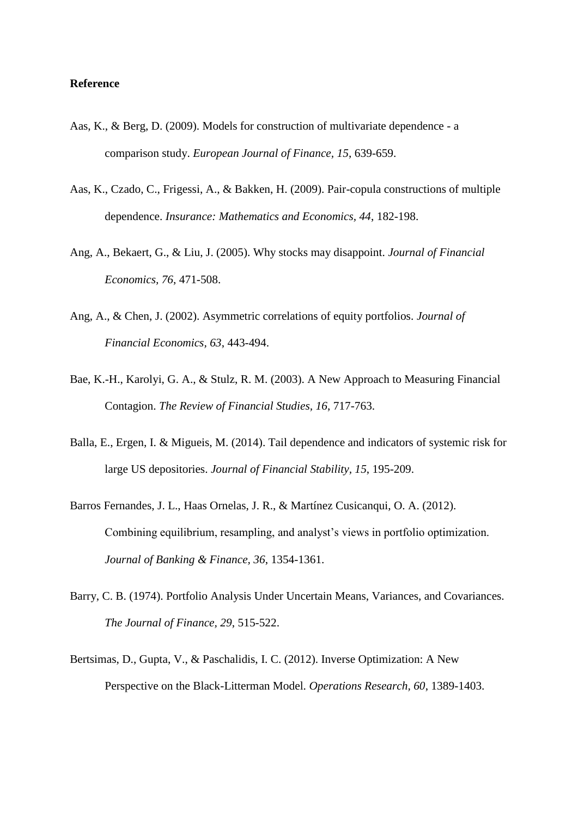#### **Reference**

- Aas, K., & Berg, D. (2009). Models for construction of multivariate dependence a comparison study. *European Journal of Finance, 15*, 639-659.
- Aas, K., Czado, C., Frigessi, A., & Bakken, H. (2009). Pair-copula constructions of multiple dependence. *Insurance: Mathematics and Economics, 44*, 182-198.
- Ang, A., Bekaert, G., & Liu, J. (2005). Why stocks may disappoint. *Journal of Financial Economics, 76*, 471-508.
- Ang, A., & Chen, J. (2002). Asymmetric correlations of equity portfolios. *Journal of Financial Economics, 63*, 443-494.
- Bae, K.-H., Karolyi, G. A., & Stulz, R. M. (2003). A New Approach to Measuring Financial Contagion. *The Review of Financial Studies, 16*, 717-763.
- Balla, E., Ergen, I. & Migueis, M. (2014). Tail dependence and indicators of systemic risk for large US depositories. *Journal of Financial Stability, 15*, 195-209.
- Barros Fernandes, J. L., Haas Ornelas, J. R., & Martínez Cusicanqui, O. A. (2012). Combining equilibrium, resampling, and analyst's views in portfolio optimization. *Journal of Banking & Finance, 36*, 1354-1361.
- Barry, C. B. (1974). Portfolio Analysis Under Uncertain Means, Variances, and Covariances. *The Journal of Finance, 29*, 515-522.
- Bertsimas, D., Gupta, V., & Paschalidis, I. C. (2012). Inverse Optimization: A New Perspective on the Black-Litterman Model. *Operations Research, 60*, 1389-1403.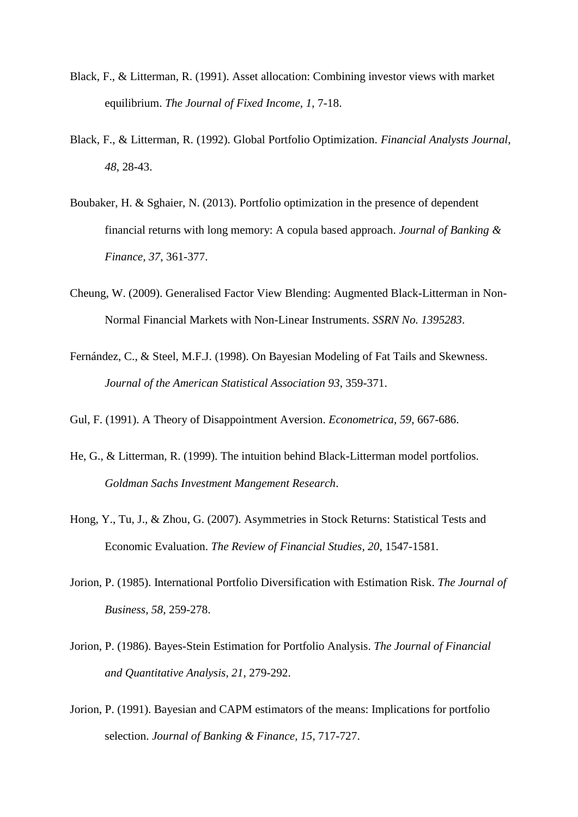- Black, F., & Litterman, R. (1991). Asset allocation: Combining investor views with market equilibrium. *The Journal of Fixed Income, 1*, 7-18.
- Black, F., & Litterman, R. (1992). Global Portfolio Optimization. *Financial Analysts Journal, 48*, 28-43.
- Boubaker, H. & Sghaier, N. (2013). Portfolio optimization in the presence of dependent financial returns with long memory: A copula based approach. *Journal of Banking & Finance, 37*, 361-377.
- Cheung, W. (2009). Generalised Factor View Blending: Augmented Black-Litterman in Non-Normal Financial Markets with Non-Linear Instruments. *SSRN No. 1395283*.
- Fernández, C., & Steel, M.F.J. (1998). On Bayesian Modeling of Fat Tails and Skewness. *Journal of the American Statistical Association 93*, 359-371.
- Gul, F. (1991). A Theory of Disappointment Aversion. *Econometrica, 59*, 667-686.
- He, G., & Litterman, R. (1999). The intuition behind Black-Litterman model portfolios. *Goldman Sachs Investment Mangement Research*.
- Hong, Y., Tu, J., & Zhou, G. (2007). Asymmetries in Stock Returns: Statistical Tests and Economic Evaluation. *The Review of Financial Studies, 20*, 1547-1581.
- Jorion, P. (1985). International Portfolio Diversification with Estimation Risk. *The Journal of Business, 58*, 259-278.
- Jorion, P. (1986). Bayes-Stein Estimation for Portfolio Analysis. *The Journal of Financial and Quantitative Analysis, 21*, 279-292.
- Jorion, P. (1991). Bayesian and CAPM estimators of the means: Implications for portfolio selection. *Journal of Banking & Finance, 15*, 717-727.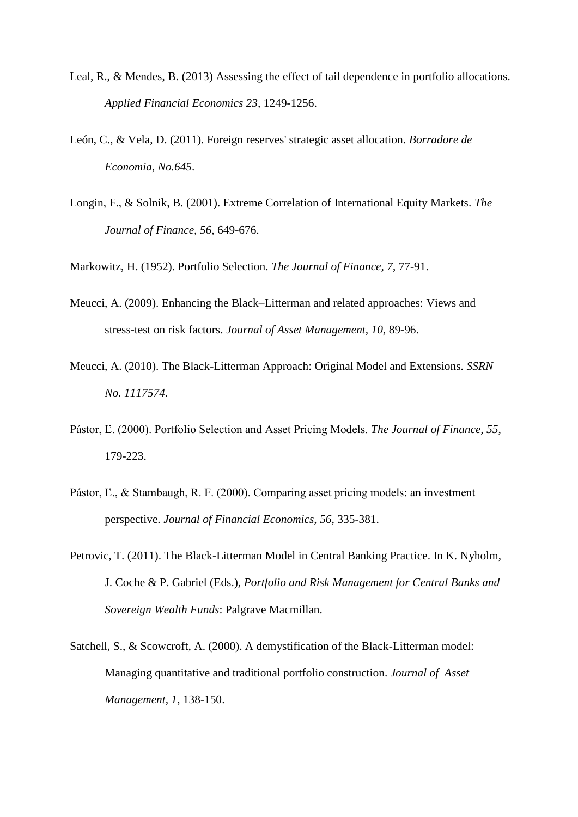- Leal, R., & Mendes, B. (2013) Assessing the effect of tail dependence in portfolio allocations. *Applied Financial Economics 23,* 1249-1256.
- León, C., & Vela, D. (2011). Foreign reserves' strategic asset allocation. *Borradore de Economia, No.645*.
- Longin, F., & Solnik, B. (2001). Extreme Correlation of International Equity Markets. *The Journal of Finance, 56*, 649-676.

Markowitz, H. (1952). Portfolio Selection. *The Journal of Finance, 7*, 77-91.

- Meucci, A. (2009). Enhancing the Black–Litterman and related approaches: Views and stress-test on risk factors. *Journal of Asset Management, 10*, 89-96.
- Meucci, A. (2010). The Black-Litterman Approach: Original Model and Extensions. *SSRN No. 1117574*.
- Pástor, Ľ. (2000). Portfolio Selection and Asset Pricing Models. *The Journal of Finance, 55*, 179-223.
- Pástor, Ľ., & Stambaugh, R. F. (2000). Comparing asset pricing models: an investment perspective. *Journal of Financial Economics, 56*, 335-381.
- Petrovic, T. (2011). The Black-Litterman Model in Central Banking Practice. In K. Nyholm, J. Coche & P. Gabriel (Eds.), *Portfolio and Risk Management for Central Banks and Sovereign Wealth Funds*: Palgrave Macmillan.
- Satchell, S., & Scowcroft, A. (2000). A demystification of the Black-Litterman model: Managing quantitative and traditional portfolio construction. *Journal of Asset Management, 1*, 138-150.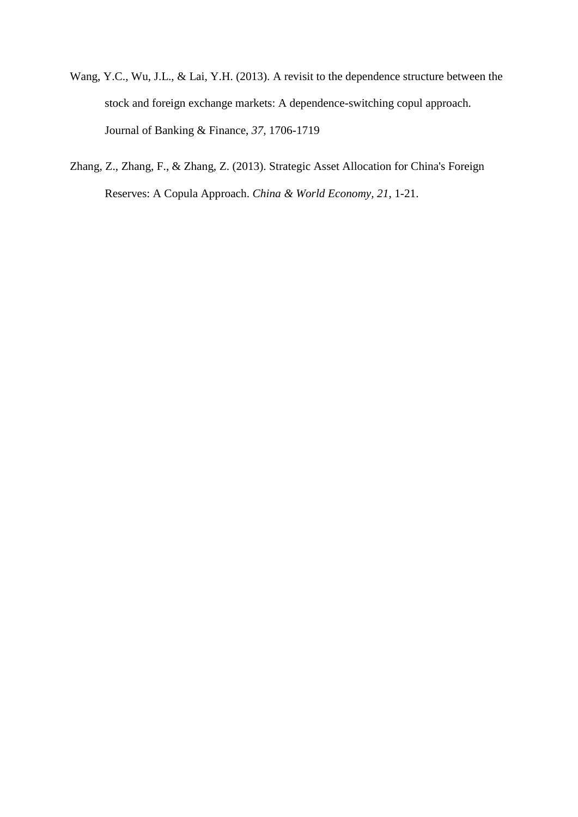- Wang, Y.C., Wu, J.L., & Lai, Y.H. (2013). A revisit to the dependence structure between the stock and foreign exchange markets: A dependence-switching copul approach. Journal of Banking & Finance, *37,* 1706-1719
- Zhang, Z., Zhang, F., & Zhang, Z. (2013). Strategic Asset Allocation for China's Foreign Reserves: A Copula Approach. *China & World Economy, 21*, 1-21.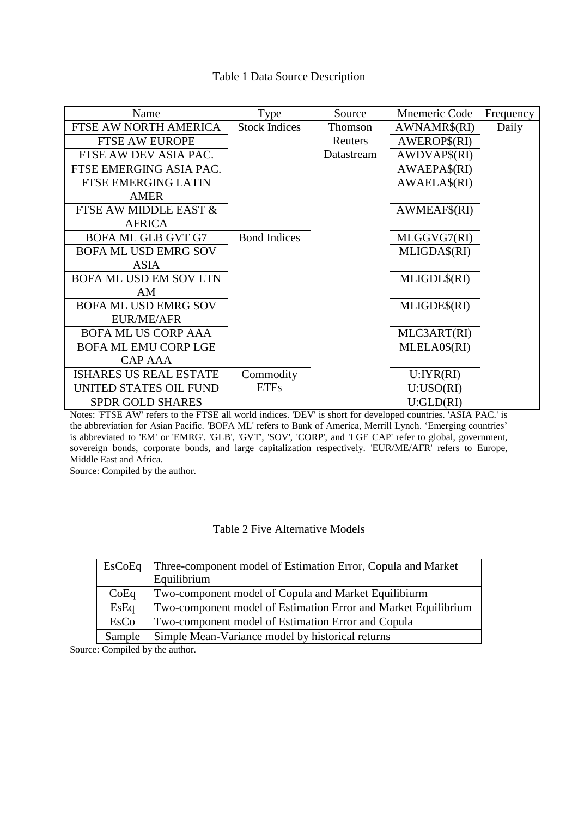# Table 1 Data Source Description

| Name                          | Type                 | Source     | Mnemeric Code | Frequency |
|-------------------------------|----------------------|------------|---------------|-----------|
| FTSE AW NORTH AMERICA         | <b>Stock Indices</b> | Thomson    | AWNAMR\$(RI)  | Daily     |
| <b>FTSE AW EUROPE</b>         |                      | Reuters    | AWEROP\$(RI)  |           |
| FTSE AW DEV ASIA PAC.         |                      | Datastream | AWDVAP\$(RI)  |           |
| FTSE EMERGING ASIA PAC.       |                      |            | AWAEPA\$(RI)  |           |
| <b>FTSE EMERGING LATIN</b>    |                      |            | AWAELA\$(RI)  |           |
| <b>AMER</b>                   |                      |            |               |           |
| FTSE AW MIDDLE EAST &         |                      |            | AWMEAF\$(RI)  |           |
| <b>AFRICA</b>                 |                      |            |               |           |
| <b>BOFA ML GLB GVT G7</b>     | <b>Bond Indices</b>  |            | MLGGVG7(RI)   |           |
| <b>BOFA ML USD EMRG SOV</b>   |                      |            | MLIGDA\$(RI)  |           |
| <b>ASIA</b>                   |                      |            |               |           |
| BOFA ML USD EM SOV LTN        |                      |            | MLIGDL\$(RI)  |           |
| AM                            |                      |            |               |           |
| <b>BOFA ML USD EMRG SOV</b>   |                      |            | MLIGDE\$(RI)  |           |
| <b>EUR/ME/AFR</b>             |                      |            |               |           |
| <b>BOFA ML US CORP AAA</b>    |                      |            | MLC3ART(RI)   |           |
| <b>BOFA ML EMU CORP LGE</b>   |                      |            | MLELA0\$(RI)  |           |
| <b>CAP AAA</b>                |                      |            |               |           |
| <b>ISHARES US REAL ESTATE</b> | Commodity            |            | U:IYR(RI)     |           |
| UNITED STATES OIL FUND        | <b>ETFs</b>          |            | U:USO(RI)     |           |
| <b>SPDR GOLD SHARES</b>       |                      |            | U:GLD(RI)     |           |

Notes: 'FTSE AW' refers to the FTSE all world indices. 'DEV' is short for developed countries. 'ASIA PAC.' is the abbreviation for Asian Pacific. 'BOFA ML' refers to Bank of America, Merrill Lynch. 'Emerging countries' is abbreviated to 'EM' or 'EMRG'. 'GLB', 'GVT', 'SOV', 'CORP', and 'LGE CAP' refer to global, government, sovereign bonds, corporate bonds, and large capitalization respectively. 'EUR/ME/AFR' refers to Europe, Middle East and Africa.

Source: Compiled by the author.

# Table 2 Five Alternative Models

| <b>EsCoEq</b> | Three-component model of Estimation Error, Copula and Market   |
|---------------|----------------------------------------------------------------|
|               | Equilibrium                                                    |
| CoEq          | Two-component model of Copula and Market Equilibiurm           |
| EsEq          | Two-component model of Estimation Error and Market Equilibrium |
| EsCo          | Two-component model of Estimation Error and Copula             |
| Sample        | Simple Mean-Variance model by historical returns               |

Source: Compiled by the author.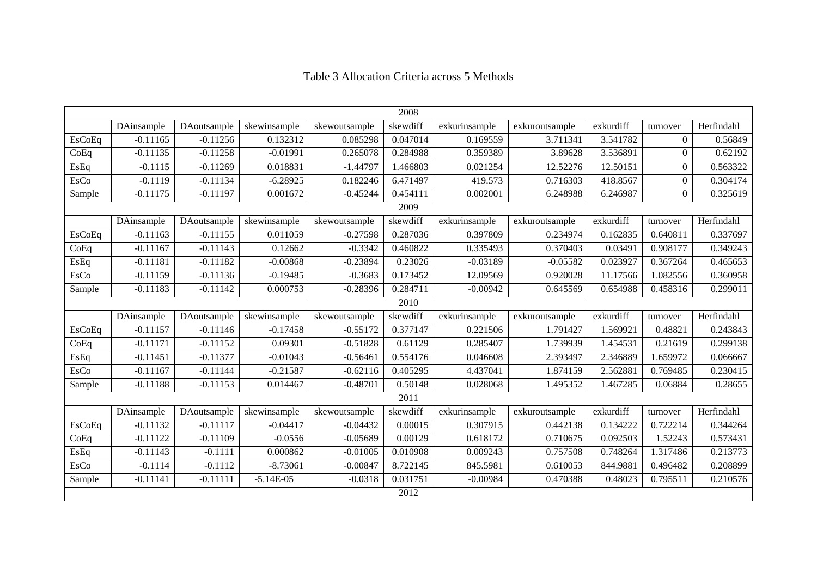|               | 2008       |             |              |               |          |               |                |           |                  |            |  |
|---------------|------------|-------------|--------------|---------------|----------|---------------|----------------|-----------|------------------|------------|--|
|               | DAinsample | DAoutsample | skewinsample | skewoutsample | skewdiff | exkurinsample | exkuroutsample | exkurdiff | turnover         | Herfindahl |  |
| <b>EsCoEq</b> | $-0.11165$ | $-0.11256$  | 0.132312     | 0.085298      | 0.047014 | 0.169559      | 3.711341       | 3.541782  | $\Omega$         | 0.56849    |  |
| CoEq          | $-0.11135$ | $-0.11258$  | $-0.01991$   | 0.265078      | 0.284988 | 0.359389      | 3.89628        | 3.536891  | $\Omega$         | 0.62192    |  |
| EsEq          | $-0.1115$  | $-0.11269$  | 0.018831     | $-1.44797$    | 1.466803 | 0.021254      | 12.52276       | 12.50151  | $\theta$         | 0.563322   |  |
| EsCo          | $-0.1119$  | $-0.11134$  | $-6.28925$   | 0.182246      | 6.471497 | 419.573       | 0.716303       | 418.8567  | $\theta$         | 0.304174   |  |
| Sample        | $-0.11175$ | $-0.11197$  | 0.001672     | $-0.45244$    | 0.454111 | 0.002001      | 6.248988       | 6.246987  | $\boldsymbol{0}$ | 0.325619   |  |
|               |            |             |              |               | 2009     |               |                |           |                  |            |  |
|               | DAinsample | DAoutsample | skewinsample | skewoutsample | skewdiff | exkurinsample | exkuroutsample | exkurdiff | turnover         | Herfindahl |  |
| <b>EsCoEq</b> | $-0.11163$ | $-0.11155$  | 0.011059     | $-0.27598$    | 0.287036 | 0.397809      | 0.234974       | 0.162835  | 0.640811         | 0.337697   |  |
| CoEq          | $-0.11167$ | $-0.11143$  | 0.12662      | $-0.3342$     | 0.460822 | 0.335493      | 0.370403       | 0.03491   | 0.908177         | 0.349243   |  |
| EsEq          | $-0.11181$ | $-0.11182$  | $-0.00868$   | $-0.23894$    | 0.23026  | $-0.03189$    | $-0.05582$     | 0.023927  | 0.367264         | 0.465653   |  |
| EsCo          | $-0.11159$ | $-0.11136$  | $-0.19485$   | $-0.3683$     | 0.173452 | 12.09569      | 0.920028       | 11.17566  | 1.082556         | 0.360958   |  |
| Sample        | $-0.11183$ | $-0.11142$  | 0.000753     | $-0.28396$    | 0.284711 | $-0.00942$    | 0.645569       | 0.654988  | 0.458316         | 0.299011   |  |
|               |            |             |              |               | 2010     |               |                |           |                  |            |  |
|               | DAinsample | DAoutsample | skewinsample | skewoutsample | skewdiff | exkurinsample | exkuroutsample | exkurdiff | turnover         | Herfindahl |  |
| <b>EsCoEq</b> | $-0.11157$ | $-0.11146$  | $-0.17458$   | $-0.55172$    | 0.377147 | 0.221506      | 1.791427       | 1.569921  | 0.48821          | 0.243843   |  |
| CoEq          | $-0.11171$ | $-0.11152$  | 0.09301      | $-0.51828$    | 0.61129  | 0.285407      | 1.739939       | 1.454531  | 0.21619          | 0.299138   |  |
| EsEq          | $-0.11451$ | $-0.11377$  | $-0.01043$   | $-0.56461$    | 0.554176 | 0.046608      | 2.393497       | 2.346889  | 1.659972         | 0.066667   |  |
| EsCo          | $-0.11167$ | $-0.11144$  | $-0.21587$   | $-0.62116$    | 0.405295 | 4.437041      | 1.874159       | 2.562881  | 0.769485         | 0.230415   |  |
| Sample        | $-0.11188$ | $-0.11153$  | 0.014467     | $-0.48701$    | 0.50148  | 0.028068      | 1.495352       | 1.467285  | 0.06884          | 0.28655    |  |
|               |            |             |              |               | 2011     |               |                |           |                  |            |  |
|               | DAinsample | DAoutsample | skewinsample | skewoutsample | skewdiff | exkurinsample | exkuroutsample | exkurd    | turnover         | Herfindahl |  |
| <b>EsCoEq</b> | $-0.11132$ | $-0.11117$  | $-0.04417$   | $-0.04432$    | 0.00015  | 0.307915      | 0.442138       | 0.134222  | 0.722214         | 0.344264   |  |
| CoEq          | $-0.11122$ | $-0.11109$  | $-0.0556$    | $-0.05689$    | 0.00129  | 0.618172      | 0.710675       | 0.092503  | 1.52243          | 0.573431   |  |
| EsEq          | $-0.11143$ | $-0.1111$   | 0.000862     | $-0.01005$    | 0.010908 | 0.009243      | 0.757508       | 0.748264  | 1.317486         | 0.213773   |  |
| EsCo          | $-0.1114$  | $-0.1112$   | $-8.73061$   | $-0.00847$    | 8.722145 | 845.5981      | 0.610053       | 844.9881  | 0.496482         | 0.208899   |  |
| Sample        | $-0.11141$ | $-0.11111$  | $-5.14E-05$  | $-0.0318$     | 0.031751 | $-0.00984$    | 0.470388       | 0.48023   | 0.795511         | 0.210576   |  |
|               |            | 2012        |              |               |          |               |                |           |                  |            |  |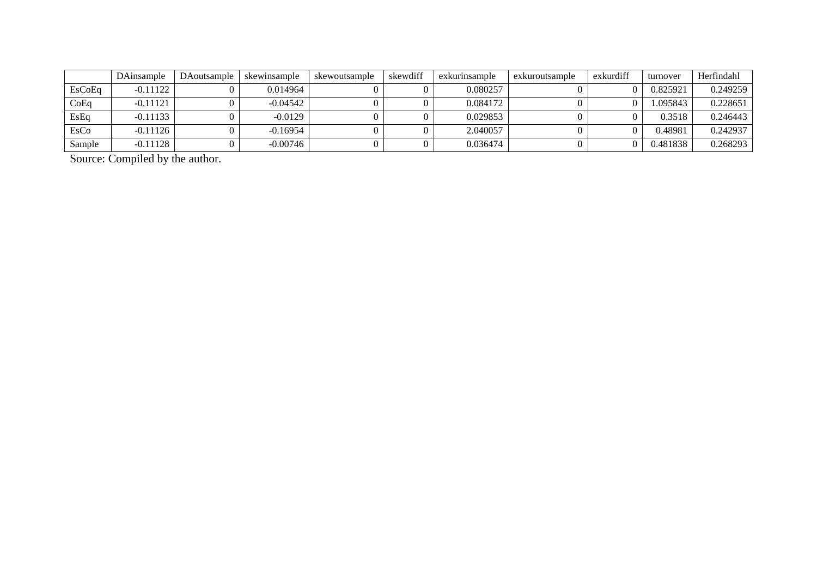|               | DAinsample | DAoutsample | skewinsample | skewoutsample | skewdiff | exkurinsample | exkuroutsample | exkurdiff | turnover | Herfindahl |
|---------------|------------|-------------|--------------|---------------|----------|---------------|----------------|-----------|----------|------------|
| <b>EsCoEq</b> | $-0.11122$ |             | 0.014964     |               |          | 0.080257      |                |           | 0.825921 | 0.249259   |
| CoEq          | $-0.11121$ |             | $-0.04542$   |               |          | 0.084172      |                |           | .095843  | 0.228651   |
| EsEq          | $-0.11133$ |             | $-0.0129$    |               |          | 0.029853      |                |           | 0.3518   | 0.246443   |
| EsCo          | $-0.11126$ |             | $-0.16954$   |               |          | 2.040057      |                |           | ).48981  | 0.242937   |
| Sample        | $-0.11128$ |             | $-0.00746$   |               |          | 0.036474      |                |           | 0.481838 | 0.268293   |

Source: Compiled by the author.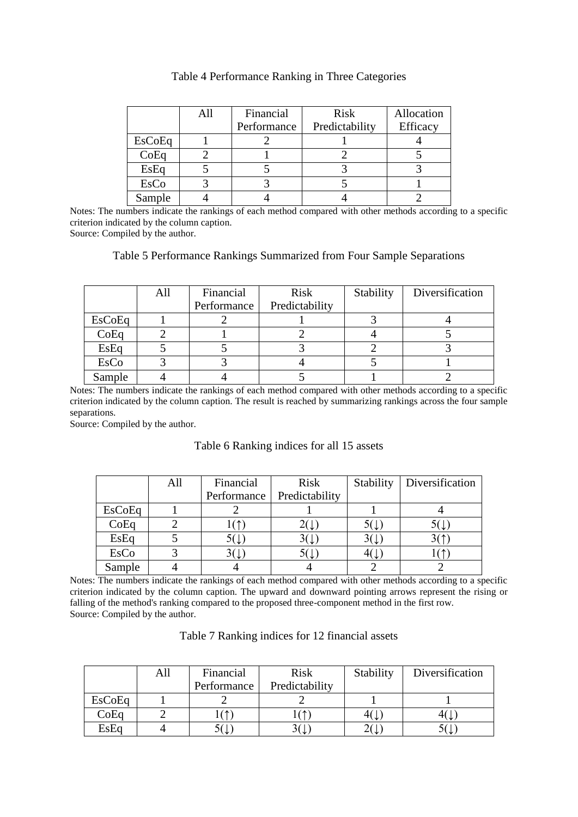|             | All | Financial   | <b>Risk</b>    | Allocation |
|-------------|-----|-------------|----------------|------------|
|             |     | Performance | Predictability | Efficacy   |
| EsCoEq      |     |             |                |            |
| CoEq        |     |             |                |            |
| EsEq        |     |             |                |            |
| <b>EsCo</b> |     |             |                |            |
| Sample      |     |             |                |            |

#### Table 4 Performance Ranking in Three Categories

Notes: The numbers indicate the rankings of each method compared with other methods according to a specific criterion indicated by the column caption.

Source: Compiled by the author.

# Table 5 Performance Rankings Summarized from Four Sample Separations

|        | All | Financial   | <b>Risk</b>    | Stability | Diversification |
|--------|-----|-------------|----------------|-----------|-----------------|
|        |     | Performance | Predictability |           |                 |
| EsCoEq |     |             |                |           |                 |
| CoEq   |     |             |                |           |                 |
| EsEq   |     |             |                |           |                 |
| EsCo   |     |             |                |           |                 |
| Sample |     |             |                |           |                 |

Notes: The numbers indicate the rankings of each method compared with other methods according to a specific criterion indicated by the column caption. The result is reached by summarizing rankings across the four sample separations.

Source: Compiled by the author.

# Table 6 Ranking indices for all 15 assets

|               | All | Financial   | <b>Risk</b>    | Stability   Diversification |
|---------------|-----|-------------|----------------|-----------------------------|
|               |     | Performance | Predictability |                             |
| <b>EsCoEq</b> |     |             |                |                             |
| CoEq          |     |             |                |                             |
| EsEq          |     |             |                |                             |
| EsCo          |     |             |                |                             |
| Sample        |     |             |                |                             |

Notes: The numbers indicate the rankings of each method compared with other methods according to a specific criterion indicated by the column caption. The upward and downward pointing arrows represent the rising or falling of the method's ranking compared to the proposed three-component method in the first row. Source: Compiled by the author.

| Table 7 Ranking indices for 12 financial assets |  |  |  |  |
|-------------------------------------------------|--|--|--|--|
|-------------------------------------------------|--|--|--|--|

|               | All | Financial                      | <b>Risk</b>    | Stability                     | Diversification |
|---------------|-----|--------------------------------|----------------|-------------------------------|-----------------|
|               |     | Performance                    | Predictability |                               |                 |
| <b>EsCoEq</b> |     |                                |                |                               |                 |
| CoEq          |     | 个个                             |                | $4\left( \frac{1}{2} \right)$ |                 |
| EsEq          |     | $\rightarrow$ ( $\downarrow$ ) | ` ↓            | ∠\ ↓                          |                 |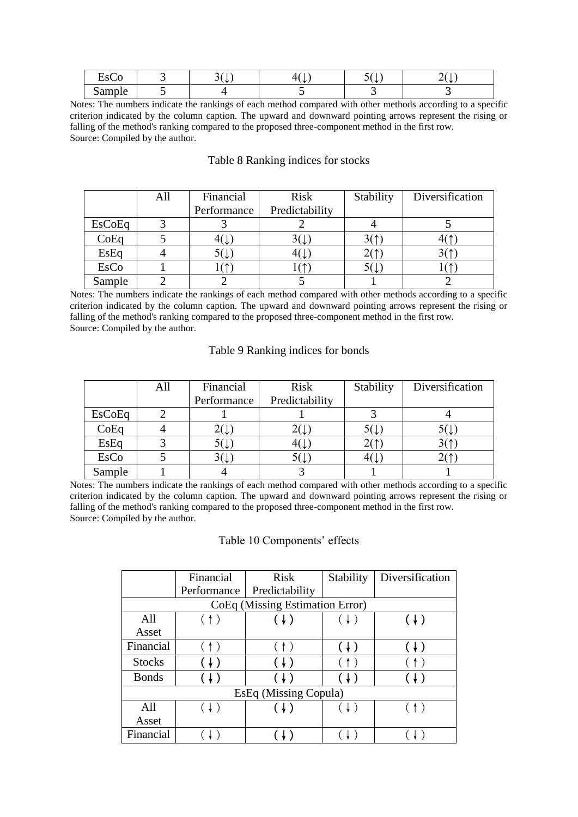| $\sim$<br>–<br>Het<br>しさしし            | ັ<br>N. | - sta | ັ<br>بتك | تبايد<br>- |
|---------------------------------------|---------|-------|----------|------------|
| $\sim$ $\sim$ $\sim$ $\sim$<br>Sample |         |       |          |            |

Notes: The numbers indicate the rankings of each method compared with other methods according to a specific criterion indicated by the column caption. The upward and downward pointing arrows represent the rising or falling of the method's ranking compared to the proposed three-component method in the first row. Source: Compiled by the author.

# Table 8 Ranking indices for stocks

|               | All | Financial   | <b>Risk</b>    | Stability      | Diversification |
|---------------|-----|-------------|----------------|----------------|-----------------|
|               |     | Performance | Predictability |                |                 |
| <b>EsCoEq</b> |     |             |                |                |                 |
| CoEq          |     |             |                |                |                 |
| EsEq          |     |             |                |                |                 |
| <b>EsCo</b>   |     |             |                | $5(\downarrow$ |                 |
| Sample        |     |             |                |                |                 |

Notes: The numbers indicate the rankings of each method compared with other methods according to a specific criterion indicated by the column caption. The upward and downward pointing arrows represent the rising or falling of the method's ranking compared to the proposed three-component method in the first row. Source: Compiled by the author.

#### Table 9 Ranking indices for bonds

|               | All | Financial   | <b>Risk</b>    | Stability | Diversification |
|---------------|-----|-------------|----------------|-----------|-----------------|
|               |     | Performance | Predictability |           |                 |
| <b>EsCoEq</b> |     |             |                |           |                 |
| CoEq          |     |             | – \ ↓          | ЭL        |                 |
| EsEq          |     |             |                |           |                 |
| EsCo          |     |             |                |           |                 |
| Sample        |     |             |                |           |                 |

Notes: The numbers indicate the rankings of each method compared with other methods according to a specific criterion indicated by the column caption. The upward and downward pointing arrows represent the rising or falling of the method's ranking compared to the proposed three-component method in the first row. Source: Compiled by the author.

#### Table 10 Components' effects

|                                 | Financial    | <b>Risk</b>                                   | Stability | Diversification |  |  |  |  |
|---------------------------------|--------------|-----------------------------------------------|-----------|-----------------|--|--|--|--|
|                                 | Performance  | Predictability                                |           |                 |  |  |  |  |
| CoEq (Missing Estimation Error) |              |                                               |           |                 |  |  |  |  |
| All                             |              |                                               |           | (↓)             |  |  |  |  |
| Asset                           |              |                                               |           |                 |  |  |  |  |
| Financial                       | $\uparrow$ ) | (↑)                                           |           | (↓)             |  |  |  |  |
| <b>Stocks</b>                   |              |                                               |           |                 |  |  |  |  |
| <b>Bonds</b>                    |              |                                               | (↓)       |                 |  |  |  |  |
| EsEq (Missing Copula)           |              |                                               |           |                 |  |  |  |  |
| All                             |              | $\left(\begin{array}{c} 1 \end{array}\right)$ |           | $\uparrow$      |  |  |  |  |
| Asset                           |              |                                               |           |                 |  |  |  |  |
| Financial                       |              |                                               |           |                 |  |  |  |  |